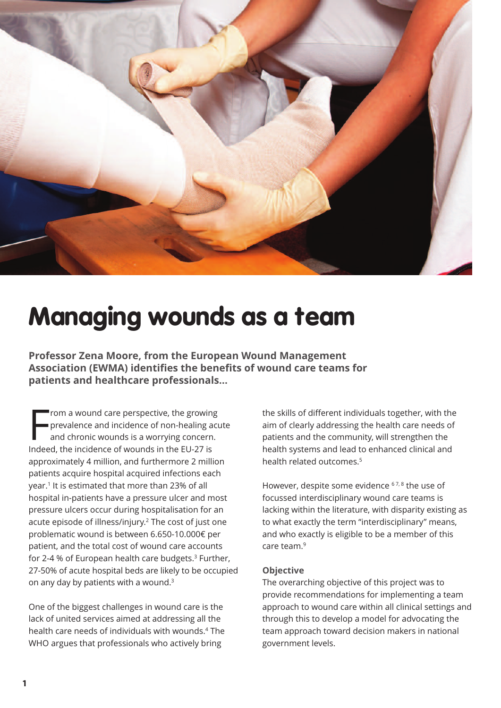

# **Managing wounds as a team**

**Professor Zena Moore, from the European Wound Management Association (EWMA) identifies the benefits of wound care teams for patients and healthcare professionals…**

From a wound care perspective, the growing<br>prevalence and incidence of non-healing and chronic wounds is a worrying concerr<br>Indeed, the incidence of wounds in the EU-27 is rom a wound care perspective, the growing prevalence and incidence of non-healing acute and chronic wounds is a worrying concern. approximately 4 million, and furthermore 2 million patients acquire hospital acquired infections each year. <sup>1</sup> It is estimated that more than 23% of all hospital in-patients have a pressure ulcer and most pressure ulcers occur during hospitalisation for an acute episode of illness/injury. <sup>2</sup> The cost of just one problematic wound is between 6.650-10.000€ per patient, and the total cost of wound care accounts for 2-4 % of European health care budgets. <sup>3</sup> Further, 27-50% of acute hospital beds are likely to be occupied on any day by patients with a wound. 3

One of the biggest challenges in wound care is the lack of united services aimed at addressing all the health care needs of individuals with wounds. <sup>4</sup> The WHO argues that professionals who actively bring

the skills of different individuals together, with the aim of clearly addressing the health care needs of patients and the community, will strengthen the health systems and lead to enhanced clinical and health related outcomes. 5

However, despite some evidence <sup>67,8</sup> the use of focussed interdisciplinary wound care teams is lacking within the literature, with disparity existing as to what exactly the term "interdisciplinary" means, and who exactly is eligible to be a member of this care team. 9

### **Objective**

The overarching objective of this project was to provide recommendations for implementing a team approach to wound care within all clinical settings and through this to develop a model for advocating the team approach toward decision makers in national government levels.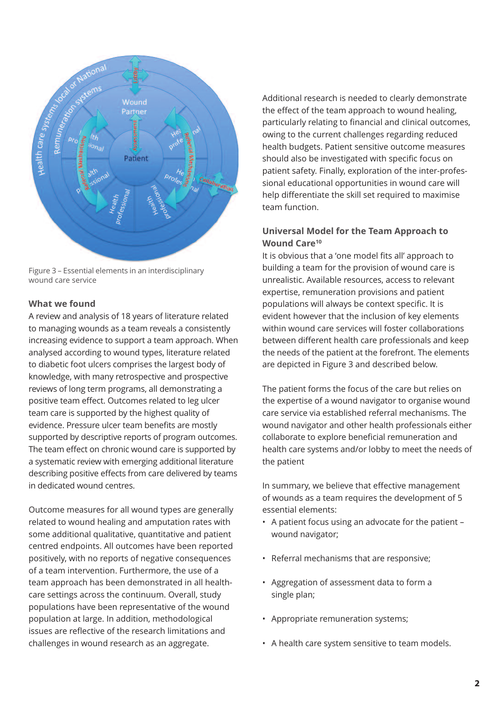

Figure 3 – Essential elements in an interdisciplinary wound care service

### **What we found**

A review and analysis of 18 years of literature related to managing wounds as a team reveals a consistently increasing evidence to support a team approach. When analysed according to wound types, literature related to diabetic foot ulcers comprises the largest body of knowledge, with many retrospective and prospective reviews of long term programs, all demonstrating a positive team effect. Outcomes related to leg ulcer team care is supported by the highest quality of evidence. Pressure ulcer team benefits are mostly supported by descriptive reports of program outcomes. The team effect on chronic wound care is supported by a systematic review with emerging additional literature describing positive effects from care delivered by teams in dedicated wound centres.

Outcome measures for all wound types are generally related to wound healing and amputation rates with some additional qualitative, quantitative and patient centred endpoints. All outcomes have been reported positively, with no reports of negative consequences of a team intervention. Furthermore, the use of a team approach has been demonstrated in all healthcare settings across the continuum. Overall, study populations have been representative of the wound population at large. In addition, methodological issues are reflective of the research limitations and challenges in wound research as an aggregate.

Additional research is needed to clearly demonstrate the effect of the team approach to wound healing, particularly relating to financial and clinical outcomes, owing to the current challenges regarding reduced health budgets. Patient sensitive outcome measures should also be investigated with specific focus on patient safety. Finally, exploration of the inter-professional educational opportunities in wound care will help differentiate the skill set required to maximise team function.

## **Universal Model for the Team Approach to Wound Care10**

It is obvious that a 'one model fits all' approach to building a team for the provision of wound care is unrealistic. Available resources, access to relevant expertise, remuneration provisions and patient populations will always be context specific. It is evident however that the inclusion of key elements within wound care services will foster collaborations between different health care professionals and keep the needs of the patient at the forefront. The elements are depicted in Figure 3 and described below.

The patient forms the focus of the care but relies on the expertise of a wound navigator to organise wound care service via established referral mechanisms. The wound navigator and other health professionals either collaborate to explore beneficial remuneration and health care systems and/or lobby to meet the needs of the patient

In summary, we believe that effective management of wounds as a team requires the development of 5 essential elements:

- A patient focus using an advocate for the patient wound navigator;
- Referral mechanisms that are responsive;
- Aggregation of assessment data to form a single plan;
- Appropriate remuneration systems;
- A health care system sensitive to team models.